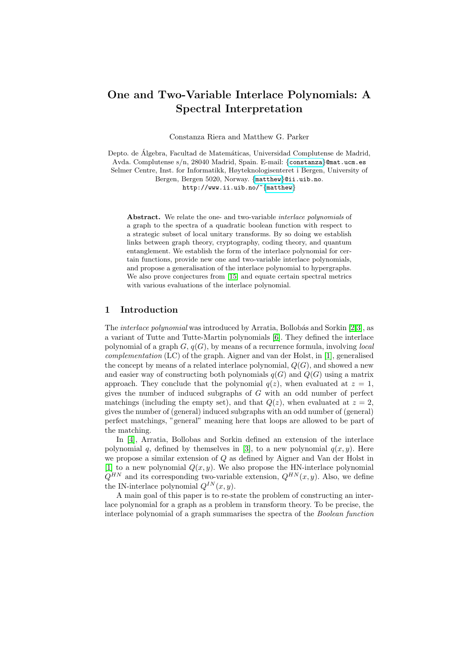# One and Two-Variable Interlace Polynomials: A Spectr[al Inter](mailto:criera@mat.ucm.es)pretation

Con[sta](mailto:matthew@ii.uib.no)[nza Riera](http://www.ii.uib.no/~matthew) and Matthew G. Parker

Depto. de Álgebra, Facultad de Matemáticas, Universidad Complutense de Madrid, Avda. Complutense s/n, 28040 Madrid, Spain. E-mail: {constanza}@mat.ucm.es Selmer Centre, Inst. for Informatikk, Høyteknologisenteret i Bergen, University of Bergen, Bergen 5020, Norway. {matthew}@ii.uib.no. http://www.ii.uib.no/~{matthew}

Abstract. We relate the one- and two-variable *interlace polynomials* of a graph t[o t](#page-14-0)he spectra of a quadratic boolean function with respect to a strategic subset of local unitary transforms. By so doing we establish links between graph theory, cryptography, coding theory, and quantum entanglement. We establish the form of the interlace polynomial for certain functions, provide new one and two-variable interlace polynomials, and propose a generalisation of the interlace polynomial to hypergraphs. We also prove conjectures from [15] and equate [ce](#page-13-0)[rta](#page-13-1)in spectral metrics with various evaluation[s o](#page-14-1)f the interlace polynomial.

#### 1 Introduction

The *interlace polynomial* was introduced by Arratia, Bollobás and Sorkin [2,3], as a variant of Tutte and Tutte-Martin polynomials [6]. They defined the interlace polynomial of a graph  $G, q(G)$ , by means of a recurrence formula, involving *local* complementation (LC) of the graph. Aigner and van der Holst, in [1], generalised the concept by means of a related interlace polynomial,  $Q(G)$ , and showed a new and easier way of constructing both polynomials  $q(G)$  and  $Q(G)$  using a matrix approach. They conclude that the polynomial  $q(z)$ , when evaluated at  $z = 1$ , gives the number of induced subgraphs of  $G$  with an odd number of perfect matchin[g](#page-13-1)s (including the empty set), and that  $Q(z)$ , when evaluated at  $z = 2$ , gives the number of (general) induced subgraphs with an odd number of (general) perfect matchings, "general" meaning here that loops are allowed to be part of the matching.

In [4], Arratia, Bollobas and Sorkin defined an extension of the interlace polynomial q, defined by themselves in [3], to a new polynomial  $q(x, y)$ . Here we propose a similar extension of Q as defined by Aigner and Van der Holst in [1] to a new polynomial  $Q(x, y)$ . We also propose the HN-interlace polynomial  $Q^{HN}$  and its corresponding two-variable extension,  $Q^{HN}(x, y)$ . Also, we define the IN-interlace polynomial  $Q^{IN}(x, y)$ .

A main goal of this paper is to re-state the problem of constructing an interlace polynomial for a graph as a problem in transform theory. To be precise, the interlace polynomial of a graph summarises the spectra of the Boolean function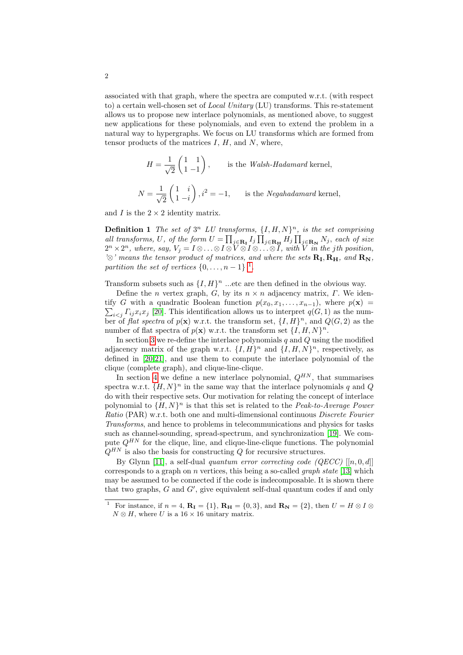associated with that graph, where the spectra are computed w.r.t. (with respect to) a certain well-chosen set of *Local Unitary* (LU) transforms. This re-statement allows us to propose new interlace polynomials, as mentioned above, to suggest new applications for these polynomials, and even to extend the problem in a natural way to hypergraphs. We focus on LU transforms which are formed from tensor products of the matrices  $I, H$ , and  $N$ , where,

$$
H = \frac{1}{\sqrt{2}} \begin{pmatrix} 1 & 1 \\ 1 & -1 \end{pmatrix},
$$
 is the *Walsh-Hadamard* kernel,  

$$
N = \frac{1}{\sqrt{2}} \begin{pmatrix} 1 & i \\ 1 & -i \end{pmatrix}, i^2 = -1,
$$
 is the *Negahadamard* kernel,

and  $I$  is the  $2 \times 2$  id[en](#page-1-0)tity matrix.

**Definition 1** The set of  $3^n$  LU transforms,  $\{I, H, N\}^n$ , is the set comprising all transforms, U, of the form  $U = \prod_{j \in \mathbf{R_I}} I_j \prod_{j \in \mathbf{R_H}} H_j \prod_{j \in \mathbf{R_N}} N_j$ , each of size  $2^n\times 2^n$ , where, say,  $V_j=I\otimes\ldots\otimes I\otimes \widetilde{V\otimes I}\otimes\ldots\otimes \widetilde{I}$ , with  $\widetilde{V}$  in the jth position, ' $\otimes$ ' means the tensor product of matrices, and where the sets  $\mathbf{R}_{\text{I}}, \mathbf{R}_{\text{H}}$ , and  $\mathbf{R}_{\text{N}}$ , partition the set of vertices  $\{0, \ldots, n-1\}$ <sup>1</sup>.

Transform subsets such as  $\{I, H\}^n$  ...etc are then defined in the obvious way.

Define the *n* vertex graph, G, by its  $n \times n$  adjacency matrix,  $\Gamma$ . We iden- $\sum_{i < j} \Gamma_{ij} x_i x_j$  [20]. This identification allows us to interpret  $q(G, 1)$  as the numtify G with a quadratic Boolean function  $p(x_0, x_1, \ldots, x_{n-1})$ , where  $p(\mathbf{x}) =$ ber of flat spectra of  $p(\mathbf{x})$  w.r.t. the transform set,  $\{I, H\}^n$ , and  $Q(G, 2)$  as the number of flat spectra of  $p(\mathbf{x})$  w.r.t. the transform set  $\{I, H, N\}^n$ .

In section 3 we re-define the interlace polynomials  $q$  and  $Q$  using the modified adjacency matrix of the graph w.r.t.  $\{I, H\}^n$  and  $\{I, H, N\}^n$ , respectively, as defined in [20,21], and use them to compute the interlace polynomial of the clique (complete graph), and clique-line-clique.

In section 4 we define a new interlace polynomial,  $Q^{HN}$ , that summarises spectra w.r.t.  $\{H, N\}^n$  in [the](#page-14-2) same way that the interlace polynomials q and Q do with their respective sets. Our motivation for relating the concept of interlace polynomial to  $\{H, N\}^n$  is that this set is related to the *Peak-to-Average Power* Ratio (PAR) w.r.t. both one and multi-dimensional continuous Discrete Fourier Transforms, and hence to problems in telecomm[unic](#page-14-3)ations and physics for tasks such as channel-sounding, spread-spectrum, and synchronization [19]. We compute  $Q^{HN}$  for the clique, line, and clique-line-clique functions. The polynomial  $Q^{HN}$  is also the basis for constructing Q for recursive structures.

<span id="page-1-0"></span>By Glynn [11], a self-dual quantum error correcting code  $(QECC)$  [[n, 0, d]] corresponds to a graph on n vertices, this being a so-called *graph state* [13] which may be assumed to be connected if the code is indecomposable. It is shown there that two graphs,  $G$  and  $G'$ , give equivalent self-dual quantum codes if and only

<sup>&</sup>lt;sup>1</sup> For instance, if  $n = 4$ ,  $\mathbf{R}_{\mathbf{I}} = \{1\}$ ,  $\mathbf{R}_{\mathbf{H}} = \{0, 3\}$ , and  $\mathbf{R}_{\mathbf{N}} = \{2\}$ , then  $U = H \otimes I \otimes I$  $N \otimes H$ , where U is a 16 × 16 unitary matrix.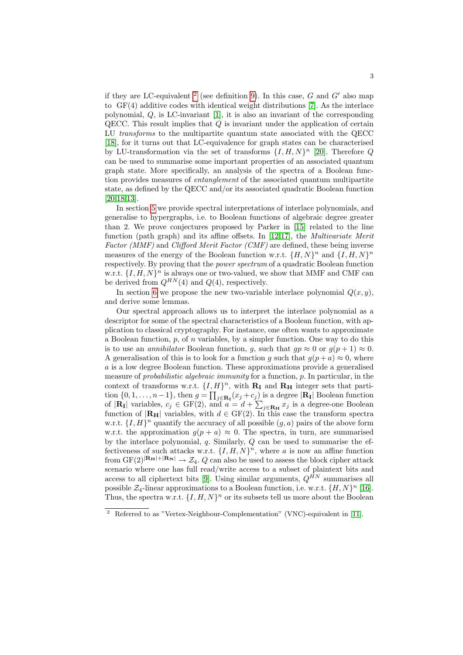if they are LC-equivalent <sup>2</sup> (see definition 9). In this case,  $G$  and  $G'$  also map to GF(4) additive codes with identical [weig](#page-15-0)ht distributions [7]. As the interlace polynomial,  $Q$ , is LC-invariant  $[1]$ , it is also an invariant of the corresponding QECC. This result implies that Q is invariant under the application of certain LU *transforms* to the multipartite quantum state associated with the QECC [18], for it turns out that LC-equivalence for graph states can be characterised by LU-transformation via the set of transforms  $\{I, H, N\}^n$  [20]. Therefore Q can be used to summarise some important properties of an associated quantum graph state. More specifically, an analysis of the spectra of a Boolean function provides measures of entangle[men](#page-14-0)t of the associated quantum multipartite state, as defined by the QE[CC](#page-14-4) [and](#page-14-5)/or its associated quadratic Boolean function [20,18,13].

In section 5 we provide spectral interpretations of interlace polynomials, and generalise to hypergraphs, i.e. to Boolean functions of algebraic degree greater than 2. We prove conjectures proposed by Parker in [15] related to the line function (path graph) and its affine offsets. In [12,17], the Multivariate Merit Factor (MMF) and Clifford Merit Factor (CMF) are defined, these being inverse measures of the energy of the Boolean function w.r.t.  $\{H, N\}^n$  and  $\{I, H, N\}^n$ respectively. By proving that the *power spectrum* of a quadratic Boolean function w.r.t.  $\{I, H, N\}^n$  is always one or two-valued, we show that MMF and CMF can be derived from  $Q^{HN}(4)$  and  $Q(4)$ , respectively.

In section 6 we propose the new two-variable interlace polynomial  $Q(x, y)$ , and derive some lemmas.

Our spectral approach allows us to interpret the interlace polynomial as a descriptor for some of the spectral characteristics of a Boolean function, with application to classical cryptography. For instance, one often wants to approximate a Boolean function,  $p$ , of  $n$  variables, by a simpler function. One way to do this is to use an *annihilator* Boolean function, g, such that  $gp \approx 0$  or  $g(p+1) \approx 0$ . A generalisation of this is to look for a function q such that  $q(p + a) \approx 0$ , where a is a low degree Boolean function. These approximations provide a generalised measure of probabilistic algebraic immunity for a function, p. In particular, in the context of transforms w.r.t.  $\{I, H\}^n$ , with  $\mathbf{R}_{\mathbf{I}}$  and  $\mathbf{R}_{\mathbf{H}}$  integer sets that partition  $\{0, 1, \ldots, n-1\}$ , then  $g = \prod_{j \in \mathbf{R_I}} (x_j + c_j)$  is a degree  $|\mathbf{R_I}|$  Boolean function of  $|\mathbf{R}_{\mathbf{I}}|$  variables,  $c_j \in \text{GF}(2)$ , and  $a = d + \sum_{j \in \mathbf{R}_{\mathbf{H}}} x_j$  is a degree-one Boolean function of  $|\mathbf{R}_{\mathbf{H}}|$  variables, with  $d \in \text{GF}(2)$ . In this case the transform spectra w.r.t.  $\{I, H\}^n$  quantify the accuracy of all possible  $(g, a)$  pairs of the above form w.r.t. t[he](#page-14-6) approximation  $g(p + a) \approx 0$ . The spectra, in turn, are summarised by the interlace polynomial,  $q$ . Similarly,  $Q$  can be u[sed](#page-14-7) to summarise the effectiveness of such attacks w.r.t.  $\{I, H, N\}^n$ , where a is now an affine function from  $GF(2)^{|\mathbf{R}_{\mathbf{H}}|+|\mathbf{R}_{\mathbf{N}}|} \rightarrow \mathcal{Z}_4$ . Q can also be used to a[sses](#page-14-8)s the block cipher attack scenario where one has full read/write access to a subset of plaintext bits and access to all ciphertext bits [9]. Using similar arguments,  $Q^{\hat{H}N}$  summarises all possible  $\mathcal{Z}_4$ -linear approximations to a Boolean function, i.e. w.r.t.  $\{H, N\}^n$  [16]. Thus, the spectra w.r.t.  $\{I, H, N\}^n$  or its subsets tell us more about the Boolean

<sup>2</sup> Referred to as "Vertex-Neighbour-Complementation" (VNC)-equivalent in [11].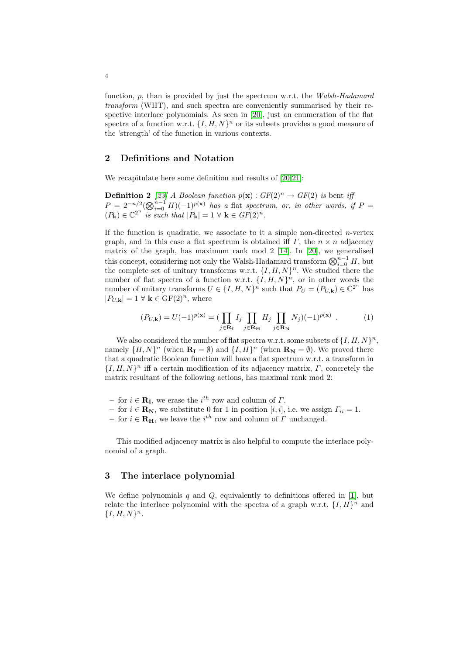function, p, than is provided by just the spectrum w.r.t. the Walsh-Hadamard transform (WHT), and such spectra are conveniently summarised by their respective interlace polynomials. As seen in [20], just an enumeration of the flat spectra of a function w.r.t.  $\{I, H, N\}^n$  $\{I, H, N\}^n$  $\{I, H, N\}^n$  or its subsets provides a good measure of the 'strength' of the function in v[ario](#page-15-1)us contexts.

#### 2 Definitions and Notation

We recapitulate here some definition and results of [20,21]:

**Definition 2** [23] A Boolean function  $p(\mathbf{x}) : GF(2)^n \to GF(2)$  is bent if  $P = 2^{-n/2} (\bigotimes_{i=0}^{n-1} H)(-1)^{p(\mathbf{x})}$  $P = 2^{-n/2} (\bigotimes_{i=0}^{n-1} H)(-1)^{p(\mathbf{x})}$  $P = 2^{-n/2} (\bigotimes_{i=0}^{n-1} H)(-1)^{p(\mathbf{x})}$  [ha](#page-14-9)s a flat spectrum, or, in other words, if  $P =$  $(P_{\mathbf{k}}) \in \mathbb{C}^{2^n}$  is such that  $|P_{\mathbf{k}}| = 1 \ \forall \ \mathbf{k} \in GF(2)^n$ .

<span id="page-3-1"></span>If the function is quadratic, we associate to it a simple non-directed  $n$ -vertex graph, and in this case a flat spectrum is obtained iff  $\Gamma$ , the  $n \times n$  adjacency matrix of the graph, has maximum rank mod 2 [14]. In [20], we generalised this concept, considering not only the Walsh-Hadamard transform  $\bigotimes_{i=0}^{n-1} H$ , but the complete set of unitary transforms w.r.t.  $\{I, H, N\}^n$ . We studied there the number of flat spectra of a function w.r.t.  $\{I, H, N\}^n$ , or in other words the number of unitary transforms  $U \in \{I, H, N\}^n$  such that  $P_U = (P_{U,\mathbf{k}}) \in \mathbb{C}^{2^n}$  has  $|P_{U,\mathbf{k}}| = 1 \ \forall \ \mathbf{k} \in \mathrm{GF}(2)^n$ , where

$$
(P_{U,\mathbf{k}}) = U(-1)^{p(\mathbf{x})} = \left(\prod_{j \in \mathbf{R}_{\mathbf{I}}} I_j \prod_{j \in \mathbf{R}_{\mathbf{H}}} H_j \prod_{j \in \mathbf{R}_{\mathbf{N}}} N_j\right)(-1)^{p(\mathbf{x})} . \tag{1}
$$

We also considered the number of flat spectra w.r.t. some subsets of  $\{I, H, N\}^n$ , namely  $\{H, N\}^n$  (when  $\mathbf{R}_{\mathbf{I}} = \emptyset$ ) and  $\{I, H\}^n$  (when  $\mathbf{R}_{\mathbf{N}} = \emptyset$ ). We proved there that a quadratic Boolean function will have a flat spectrum w.r.t. a transform in  $\{I, H, N\}^n$  iff a certain modification of its adjacency matrix,  $\Gamma$ , concretely the matrix resultant of the following actions, has maximal rank mod 2:

- for  $i \in \mathbf{R}_{\mathbf{I}}$ , we erase the  $i^{th}$  row and column of  $\Gamma$ .
- for  $i \in \mathbf{R}_{N}$ , we substitute 0 for 1 in position [i, i], i.e. we assign  $\Gamma_{ii} = 1$ .
- for  $i \in \mathbf{R}_{\mathbf{H}}$ , we leave the  $i^{th}$  row and column of  $\Gamma$  unchanged.

<span id="page-3-0"></span>This modified adjacency matrix is also helpful t[o c](#page-13-2)ompute the interlace polynomial of a graph.

### 3 The interlace polynomial

We define polynomials q and  $Q$ , equivalently to definitions offered in [1], but relate the interlace polynomial with the spectra of a graph w.r.t.  $\{I, H\}^n$  and  ${I, H, N}^n$ .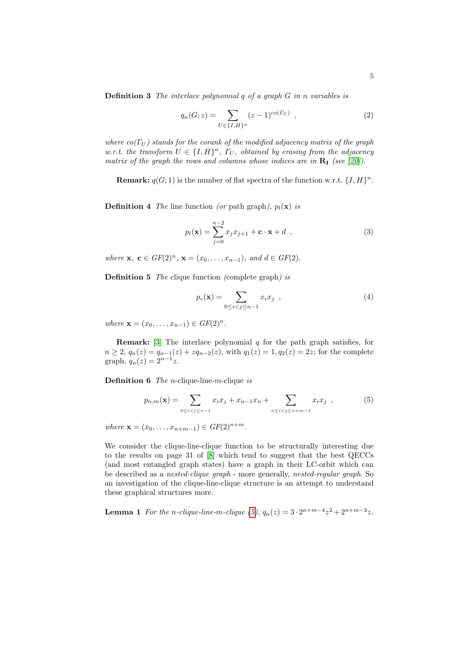<span id="page-4-2"></span>**Definition 3** The interlace polynomial  $q$  of a graph  $G$  in n variables is

$$
q_n(G; z) = \sum_{U \in \{I, H\}^n} (z - 1)^{co(\Gamma_U)}, \qquad (2)
$$

where  $co(\Gamma_U)$  stands for the corank of the modified adjacency matrix of the graph w.r.t. the transform  $U \in \{I, H\}^n$ ,  $\Gamma_U$ , obtained by erasing from the adjacency matrix of the graph the rows and columns whose indices are in  $\mathbf{R}_{\text{I}}$  (see [20]).

**Remark:**  $q(G; 1)$  is the number of flat spectra of the function w.r.t.  $\{I, H\}^n$ .

**Definition 4** The line function (or path graph),  $p_l(\mathbf{x})$  is

$$
p_l(\mathbf{x}) = \sum_{j=0}^{n-2} x_j x_{j+1} + \mathbf{c} \cdot \mathbf{x} + d \t{,} \t(3)
$$

<span id="page-4-1"></span>where  $\mathbf{x}, \ \mathbf{c} \in GF(2)^n, \ \mathbf{x} = (x_0, \ldots, x_{n-1}), \text{ and } d \in GF(2).$ 

**Definition 5** The clique function (complete graph) is

$$
p_c(\mathbf{x}) = \sum_{0 \le i < j \le n-1} x_i x_j \quad , \tag{4}
$$

where  $\mathbf{x} = (x_0, \dots, x_{n-1}) \in GF(2)^n$ .

<span id="page-4-0"></span>**Remark:** [3] The interlace polynomial  $q$  for the path graph satisfies, for  $n \geq 2$ ,  $q_n(z) = q_{n-1}(z) + zq_{n-2}(z)$ , with  $q_1(z) = 1$ ,  $q_2(z) = 2z$ ; for the complete graph,  $q_n(z) = 2^{n-1}z$ .

**Definition 6** The *n*-clique-line-m-clique is

$$
p_{n,m}(\mathbf{x}) = \sum_{0 \le i < j \le n-1} x_i x_j + x_{n-1} x_n + \sum_{n \le i < j \le n+m-1} x_i x_j \quad , \tag{5}
$$

where  $\mathbf{x} = (x_0, \dots, x_{n+m-1}) \in GF(2)^{n+m}$ .

We consider the clique-line-clique function to be structurally interesting due to the results on page 31 of [8] which tend to suggest that the best QECCs (and most entangled [gr](#page-4-0)aph states) have a graph in their LC-orbit which can be described as a *nested-clique graph* - more generally, *nested-regular graph*. So an investigation of the clique-line-clique structure is an attempt to understand these graphical structures more.

**Lemma 1** For the n-clique-line-m-clique (5),  $q_n(z) = 3 \cdot 2^{n+m-4} z^2 + 2^{n+m-3} z$ .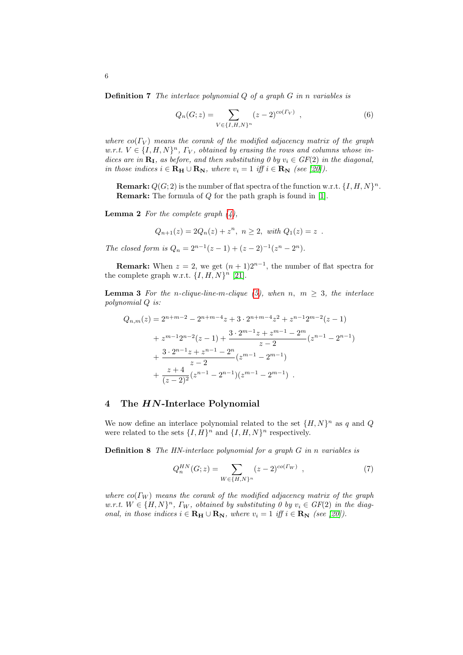<span id="page-5-0"></span>**Definition 7** The interlace polynomial  $Q$  of a graph  $G$  in n variables is

$$
Q_n(G; z) = \sum_{V \in \{I, H, N\}^n} (z - 2)^{co(\Gamma_V)}, \qquad (6)
$$

where  $co(\Gamma_V)$  means the corank of the modified adjacency matrix of the graph  $w.r.t. V \in \{I, H, N\}^n$ ,  $\Gamma_V$ , obtained by er[asi](#page-13-2)ng the rows and columns whose indices are in  $\mathbf{R}_{\text{I}}$ [, a](#page-4-1)s before, and then substituting 0 by  $v_i \in GF(2)$  in the diagonal, in those indices  $i \in \mathbf{R_H} \cup \mathbf{R_N}$ , where  $v_i = 1$  iff  $i \in \mathbf{R_N}$  (see [20]).

**Remark:**  $Q(G; 2)$  is the number of flat spectra of the function w.r.t.  $\{I, H, N\}^n$ . Remark: The formula of Q for the path graph is found in [1].

**Lemma 2** For the complete graph  $(4)$ ,

$$
Q_{n+1}(z) = 2Q_n(z) + z^n, \ n \ge 2, \ \text{with } Q_1(z) = z \ .
$$

The closed form is  $Q_n = 2^{n-1}(z-1) + (z-2)^{-1}(z^n-2^n)$  $Q_n = 2^{n-1}(z-1) + (z-2)^{-1}(z^n-2^n)$  $Q_n = 2^{n-1}(z-1) + (z-2)^{-1}(z^n-2^n)$ .

**Remark:** When  $z = 2$ , we get  $(n + 1)2^{n-1}$ , the number of flat spectra for the complete graph w.r.t.  $\{I, H, N\}^n$  [21].

**Lemma 3** For the n-clique-line-m-clique (5), when n,  $m \geq 3$ , the interlace polynomial Q is:

$$
Q_{n,m}(z) = 2^{n+m-2} - 2^{n+m-4}z + 3 \cdot 2^{n+m-4}z^2 + z^{n-1}2^{m-2}(z-1)
$$
  
+  $z^{m-1}2^{n-2}(z-1) + \frac{3 \cdot 2^{m-1}z + z^{m-1} - 2^m}{z-2}(z^{n-1} - 2^{n-1})$   
+  $\frac{3 \cdot 2^{n-1}z + z^{n-1} - 2^n}{z-2}(z^{m-1} - 2^{m-1})$   
+  $\frac{z+4}{(z-2)^2}(z^{n-1} - 2^{n-1})(z^{m-1} - 2^{m-1}).$ 

## 4 The HN-Interlace Polynomial

We now define an interlace polynomial related to the set  $\{H, N\}^n$  as q and Q were related to the sets  $\{I, H\}^n$  and  $\{I, H, N\}^n$  respectively.

**Definition 8** The HN-interlace polynomial for a graph  $G$  in n variables is

$$
Q_n^{HN}(G; z) = \sum_{W \in \{H, N\}^n} (z - 2)^{co(\Gamma_W)}, \qquad (7)
$$

where  $co(\Gamma_W)$  means the corank of the modified adjacency matrix of the graph w.r.t.  $W \in \{H, N\}^n$ ,  $\Gamma_W$ , obtained by substituting 0 by  $v_i \in GF(2)$  in the diagonal, in those indices  $i \in \mathbf{R}_{\mathbf{H}} \cup \mathbf{R}_{\mathbf{N}}$ , where  $v_i = 1$  iff  $i \in \mathbf{R}_{\mathbf{N}}$  (see [20]).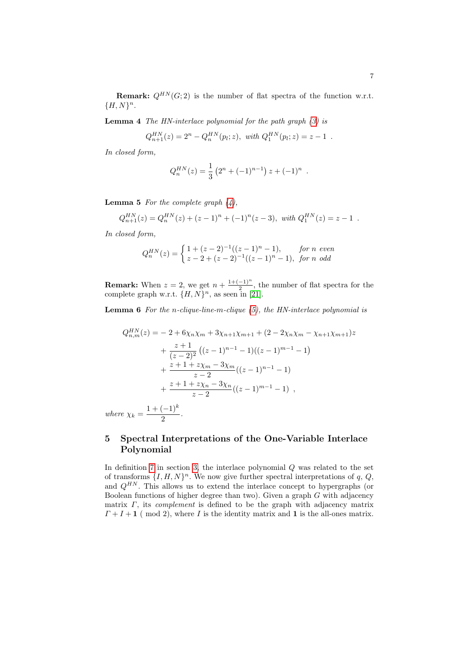<span id="page-6-0"></span>**Remark:**  $Q^{HN}(G; 2)$  is the number of flat spectra of the function w.r.t.  ${H, N}^n$ .

**Lemma 4** The HN-interlace polynomial for the path graph  $(3)$  is

$$
Q_{n+1}^{HN}(z) = 2^n - Q_n^{HN}(p_l; z), \text{ with } Q_1^{HN}(p_l; z) = z - 1.
$$

In closed form[,](#page-4-1)

$$
Q_n^{HN}(z) = \frac{1}{3} \left( 2^n + (-1)^{n-1} \right) z + (-1)^n .
$$

**Lemma 5** For the complete graph  $(4)$ ,

$$
Q_{n+1}^{HN}(z) = Q_n^{HN}(z) + (z-1)^n + (-1)^n(z-3), \text{ with } Q_1^{HN}(z) = z-1.
$$

In closed form,

$$
Q_n^{HN}(z) = \begin{cases} 1 + (z-2)^{-1}((z-1)^n - 1), & \text{for } n \text{ even} \\ z - 2 + (z-2)^{-1}((z-1)^n - 1), & \text{for } n \text{ odd} \end{cases}
$$

**Remark:** When  $z = 2$ , we get  $n + \frac{1+(-1)^n}{2}$  $\frac{-1}{2}$ , the number of flat spectra for the complete graph w.r.t.  $\{H, N\}^n$ , as seen in [21].

**Lemma 6** For the n-clique-line-m-clique  $(5)$ , the HN-interlace polynomial is

$$
Q_{n,m}^{HN}(z) = -2 + 6\chi_n\chi_m + 3\chi_{n+1}\chi_{m+1} + (2 - 2\chi_n\chi_m - \chi_{n+1}\chi_{m+1})z
$$
  
+ 
$$
\frac{z+1}{(z-2)^2} ((z-1)^{n-1} - 1)((z-1)^{m-1} - 1)
$$
  
+ 
$$
\frac{z+1+z\chi_m - 3\chi_m}{z-2} ((z-1)^{n-1} - 1)
$$
  
+ 
$$
\frac{z+1+z\chi_n - 3\chi_n}{z-2} ((z-1)^{m-1} - 1),
$$

wh[e](#page-3-0)re  $\chi_k = \frac{1 + (-1)^k}{2}$  $\frac{(1)}{2}$ .

## 5 Spectral Interpretations of the One-Variable Interlace Polynomial

In definition  $7$  in section  $3$ , the interlace polynomial  $Q$  was related to the set of transforms  $\{I, H, N\}^n$ . We now give further spectral interpretations of q, Q, and  $Q^{HN}$ . This allows us to extend the interlace concept to hypergraphs (or Boolean functions of higher degree than two). Given a graph  $G$  with adjacency matrix  $\Gamma$ , its *complement* is defined to be the graph with adjacency matrix  $\Gamma + I + 1$  (mod 2), where I is the identity matrix and 1 is the all-ones matrix.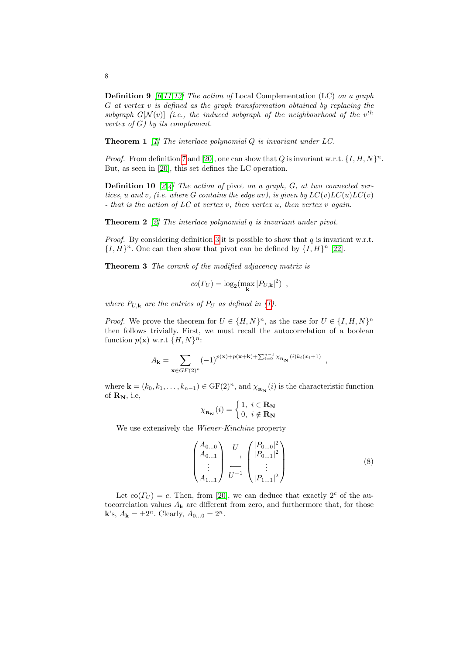**Definition 9** [6,11,13] The action of Local Complementation (LC) on a graph G at ve[rtex](#page-15-0) v is defined as the graph transformation obtained by replacing the s[ub](#page-5-0)graph  $G[N(v)]$  (i.e., the induced subgraph of the neighbourhood of the v<sup>th</sup> vertex of  $G$ ) by its complement.

**Theorem 1** [1] The interlace polynomial  $Q$  is invariant under  $LC$ .

*Proof.* From definition 7 and [20], one can show that Q is invariant w.r.t.  $\{I, H, N\}^n$ . But, as seen in [20], this set defines the LC operation.

**Definitio[n 1](#page-4-2)0** [2,4] The action of pivot on a graph,  $G$ , at two connected ver-tices, u and v, (i.e. where G contains the edge uv[\),](#page-15-2) is given by  $LC(v)LC(u)LC(v)$ - that is the action of  $LC$  at vertex v, then vertex u, then vertex v again.

<span id="page-7-1"></span>**Theorem 2** [2] The interlace polynomial q is invariant under pivot.

*Proof.* By considering definition 3 it is possible to show that  $q$  is invariant w.r.t.  $\{I, H\}^n$ . One can then sh[ow](#page-3-1) that pivot can be defined by  $\{I, H\}^n$  [22].

Theorem 3 The corank of the modified adjacency matrix is

$$
co(\Gamma_U) = \log_2(\max_{\mathbf{k}} |P_{U,\mathbf{k}}|^2) ,
$$

where  $P_{U,\mathbf{k}}$  are the entries of  $P_U$  as defined in (1).

*Proof.* We prove the theorem for  $U \in \{H, N\}^n$ , as the case for  $U \in \{I, H, N\}^n$ then follows trivially. First, we must recall the autocorrelation of a boolean function  $p(\mathbf{x})$  w.r.t  $\{H, N\}^n$ :

$$
A_{\mathbf{k}} = \sum_{\mathbf{x} \in GF(2)^n} (-1)^{p(\mathbf{x}) + p(\mathbf{x} + \mathbf{k}) + \sum_{i=0}^{n-1} \chi_{\mathbf{R}_{\mathbf{N}}}(i) k_i(x_i+1)},
$$

where  $\mathbf{k} = (k_0, k_1, \dots, k_{n-1}) \in \mathrm{GF}(2)^n$ , and  $\chi_{\mathbf{R}_{\mathbf{N}}}(i)$  is the characteristic function of  $\mathbf{R}_{\mathbf{N}},$  i.e,

$$
\chi_{\mathbf{R}_{\mathbf{N}}}(i) = \begin{cases} 1, i \in \mathbf{R}_{\mathbf{N}} \\ 0, i \notin \mathbf{R}_{\mathbf{N}} \end{cases}
$$

<span id="page-7-0"></span>We use extensively the *Wiener-Kinchine* property

$$
\begin{pmatrix} A_{0...0} \\ A_{0...1} \\ \vdots \\ A_{1...1} \end{pmatrix} \xrightarrow{U} \begin{pmatrix} |P_{0...0}|^2 \\ |P_{0...1}|^2 \\ \vdots \\ |P_{1...1}|^2 \end{pmatrix}
$$
 (8)

Let  $\text{co}(\Gamma_U) = c$ . Then, from [20], we can deduce that exactly  $2^c$  of the autocorrelation values  $A_{\mathbf{k}}$  are different from zero, and furthermore that, for those **k**'s,  $A_k = \pm 2^n$ . Clearly,  $A_{0...0} = 2^n$ .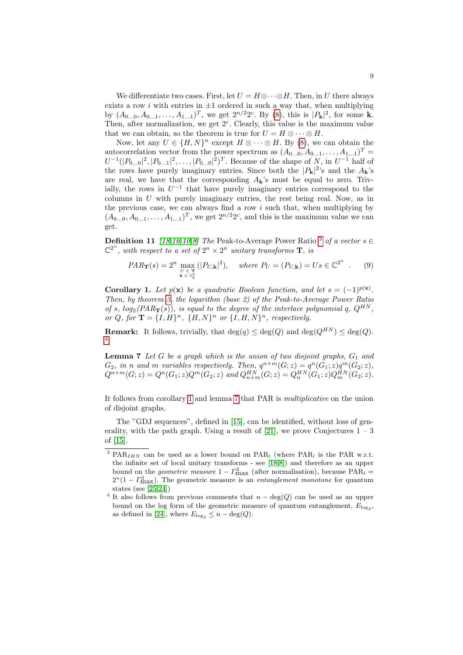We differentiate two cases. First, [let](#page-7-0)  $U = H \otimes \cdots \otimes H$ . Then, in U there always exists a row i with entries in  $\pm 1$  ordered in such a way that, when multiplying by  $(A_{0...0}, A_{0...1}, \ldots, A_{1...1})^T$ , we get  $2^{n/2}2^c$ . By (8), this is  $|P_{\bf k}|^2$ , for some **k**. Then, after normalization, we get  $2<sup>c</sup>$ . Clearly, this value is the maximum value that we can obtain, so the theorem is true for  $U = H \otimes \cdots \otimes H$ .

Now, let any  $U \in \{H, N\}^n$  except  $H \otimes \cdots \otimes H$ . By (8), we can obtain the autocorrelation vector from the power spectrum as  $(A_{0...0}, A_{0...1}, \ldots, A_{1...1})^T =$  $U^{-1}(|P_{0...0}|^2, |P_{0...1}|^2, \ldots, |P_{0...0}|^2)^T$ . Because of the shape of N, in  $U^{-1}$  half of the rows have purely imaginary entries. Since both the  $|P_{\bf k}|^2$ 's and the  $A_{\bf k}$ 's are real, we have that the corresponding  $A_k$ 's must be equal to zero. Triv[ia](#page-14-7)[lly](#page-14-10)[, t](#page-14-11)he rows in  $U^{-1}$  that have purely [im](#page-8-0)aginary entries correspond to the columns in  $U$  with purely imaginary entries, the rest being real. Now, as in the previous case, we can always find a row  $i$  such that, when multiplying by  $(A_{0...0}, A_{0...1}, \ldots, A_{1...1})^T$ , we get  $2^{n/2}2^c$ , and this is the maximum value we can get.

<span id="page-8-1"></span>**Definition 11** [18,16,10,8] The Peak-to-Average Power Ratio <sup>3</sup> of a vector  $s \in$  $\mathbb{C}^{2^n}$ , with respect to a set of  $2^n \times 2^n$  unitary transforms **T**, is

$$
PAR_{\mathbf{T}}(s) = 2^n \max_{\substack{U \in \mathbf{T} \\ \mathbf{k} \in \mathbb{Z}_2^n}} (|P_{U,\mathbf{k}}|^2), \quad \text{where } P_U = (P_{U,\mathbf{k}}) = Us \in \mathbb{C}^{2^n} \quad . \tag{9}
$$

<span id="page-8-2"></span>Corollary 1. Let  $p(x)$  be a quadratic Boolean function, and let  $s = (-1)^{p(x)}$ . Then, by theorem 3, the logarithm (base 2) of the Peak-to-Average Power Ratio of s,  $log_2(PAR_{\mathbf{T}}(s))$ , is equal to the degree of the interlace polynomial q,  $Q^{HN}$ , or Q, for  $\mathbf{T} = \{I, H\}^n$ ,  $\{H, N\}^n$  or  $\{I, H, N\}^n$ , respectively.

**Remark:** It follows, trivially, that  $\deg(q) < \deg(Q)$  and  $\deg(Q^{HN}) < \deg(Q)$ . 4

**Le[m](#page-8-1)ma 7** Let [G](#page-8-2) be a graph which is the union of two disjoint graphs,  $G_1$  and  $G_2$ , in n and m variables respectively. Then,  $q^{n+m}(G; z) = q^n(G_1; z)q^m(G_2; z)$ ,  $Q^{n+m}(G; z) = Q^n(G_1; z)Q^m(G_2; z)$  $Q^{n+m}(G; z) = Q^n(G_1; z)Q^m(G_2; z)$  $Q^{n+m}(G; z) = Q^n(G_1; z)Q^m(G_2; z)$  $Q^{n+m}(G; z) = Q^n(G_1; z)Q^m(G_2; z)$  $Q^{n+m}(G; z) = Q^n(G_1; z)Q^m(G_2; z)$  and  $Q_{n+m}^{HN}(G; z) = Q_n^{HN}(G_1; z)Q_m^{HN}(G_2; z)$ .

<span id="page-8-3"></span><span id="page-8-0"></span>It follows from corollary 1 and lemma 7 that PAR is multiplicative on the union of disjoint graphs.

The "GDJ sequences", defined in [15], can be identified, without loss of generality, with the path graph. Using a result of [21], we prove Conjectures  $1 - 3$ of [15].

<sup>&</sup>lt;sup>3</sup> PAR<sub>IHN</sub> can be used as a lower bound on PAR<sub>l</sub> (where PAR<sub>l</sub> is the PAR w.r.t. the infinite set of local unitary transforms - see [18,8]) and therefore as an upper bound on the *geometric measure*  $1 - \Gamma_{\text{max}}^2$  (after normalisation), because PAR<sub>l</sub> =  $2^{n}(1 - \Gamma_{\text{max}}^{2})$ . The geometric measure is an *entanglement monotone* for quantum states (see [25,24])

<sup>&</sup>lt;sup>4</sup> It also follows from previous comments that  $n - deg(Q)$  can be used as an upper bound on the log form of the geometric measure of quantum entanglement,  $E_{\log_2}$ , as defined in [24], where  $E_{\log_2} \leq n - \deg(Q)$ .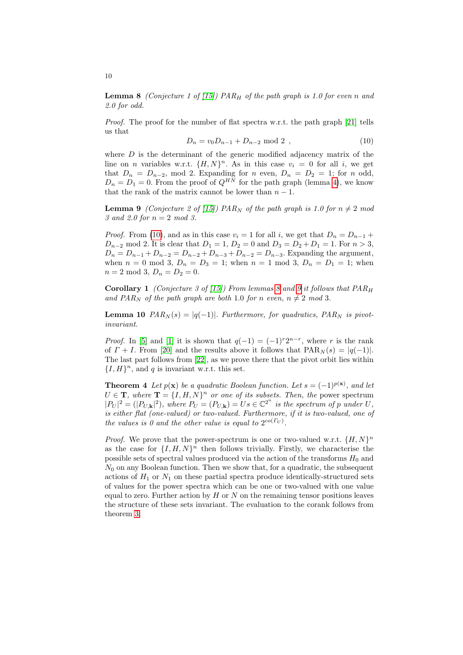**Lemma 8** (Conjecture 1 of [15]) PAR<sub>H</sub> of the path graph is 1.0 for even n and 2.0 for odd.

Proof. The proof for the number of flat spectra w.r.t. the path graph [21] tells us that

$$
D_n = v_0 D_{n-1} + D_{n-2} \text{ mod } 2 \tag{10}
$$

<span id="page-9-0"></span>where  $D$  [is](#page-14-0) the determinant of the generic modified adjacency matrix of the line on *n* variables w.r.t.  $\{H, N\}^n$ . As in this case  $v_i = 0$  for all *i*, we get that  $D_n = D_{n-2}$ , mod 2. Expanding for n even,  $D_n = D_2 = 1$ ; for n odd,  $D_n = D_1 = 0$ . From the proof of  $Q^{HN}$  for the path graph (lemma 4), we know that the rank of the matrix cannot be lower than  $n - 1$ .

**Lemma 9** (Conjecture 2 of [15]) PAR<sub>N</sub> of the path graph is 1.0 for  $n \neq 2$  mod 3 and 2.0 for  $n = 2 \mod 3$ .

*Proof.* Fr[om](#page-14-0) (10), and as in [thi](#page-8-3)s ca[se](#page-9-0)  $v_i = 1$  for all i, we get that  $D_n = D_{n-1}$  +  $D_{n-2}$  mod 2. It is clear that  $D_1 = 1$ ,  $D_2 = 0$  and  $D_3 = D_2 + D_1 = 1$ . For  $n > 3$ ,  $D_n = D_{n-1} + D_{n-2} = D_{n-2} + D_{n-3} + D_{n-2} = D_{n-3}$ . Expanding the argument, when  $n = 0 \text{ mod } 3$ ,  $D_n = D_3 = 1$ ; when  $n = 1 \text{ mod } 3$ ,  $D_n = D_1 = 1$ ; when  $n = 2 \mod 3, D_n = D_2 = 0.$ 

**Corollary 1** (Conjecture 3 of [15]) From lemmas 8 and 9 it follows that  $PAR_H$ and PAR<sub>N</sub> of the path graph are both 1.0 for n even,  $n \neq 2 \mod 3$ .

**Lem[ma](#page-15-2) 10**  $PAR_N(s) = |q(-1)|$ . Furthermore, for quadratics,  $PAR_N$  is pivotinvariant.

<span id="page-9-1"></span>*Proof.* In [5] and [1] it is shown that  $q(-1) = (-1)^{r}2^{n-r}$ , where r is the rank of  $\Gamma + I$ . From [20] and the results above it follows that  $PAR_N(s) = |q(-1)|$ . The last part follows from [22], as we prove there that the pivot orbit lies within  $\{I, H\}$ <sup>n</sup>, and q is invariant w.r.t. this set.

**Theorem 4** Let  $p(\mathbf{x})$  be a quadratic Boolean function. Let  $s = (-1)^{p(\mathbf{x})}$ , and let  $U \in \mathbf{T}$ , where  $\mathbf{T} = \{I, H, N\}^n$  or one of its subsets. Then, the power spectrum  $|P_U|^2 = (|P_{U,\mathbf{k}}|^2)$ , where  $P_U = (P_{U,\mathbf{k}}) = Us \in \mathbb{C}^{2^n}$  is the spectrum of p under U, is either flat (one-valued) or two-valued. Furthermore, if it is two-valued, one of the values is 0 and the other value is equal to  $2^{co(\Gamma_U)}$ .

*Proof.* We prove that the power-spectrum is one or two-valued w.r.t.  $\{H, N\}^n$ as the case for  $\{I, H, N\}^n$  then follows trivially. Firstly, we characterise the possible sets of spectral values produced via the action of the transforms  $H_0$  and  $N_0$  on any Boolean function. Then we show that, for a quadratic, the subsequent actions of  $H_1$  or  $N_1$  on these partial spectra produce identically-structured sets of values for the power spectra which can be one or two-valued with one value equal to zero. Further action by  $H$  or  $N$  on the remaining tensor positions leaves the structure of these sets invariant. The evaluation to the corank follows from theorem 3.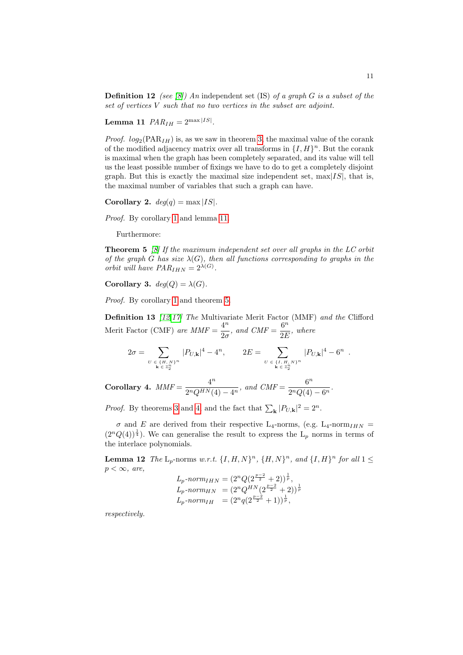<span id="page-10-0"></span>**Definition 12** (see [8][\) A](#page-7-1)n independent set (IS) of a graph G is a subset of the set of vertices V such that no two vertices in the subset are adjoint.

Lemma 11  $PAR_{IH} = 2^{\max |IS|}$ .

*Proof.*  $log_2(PAR_{IH})$  is, as we saw in theorem 3, the maximal value of the corank of the modified adjacency matrix over all transforms in  $\{I, H\}^n$ . But the corank is maximal when the graph has been completely separated, and its value will tell [u](#page-8-1)s the least [poss](#page-10-0)ible number of fixings we have to do to get a completely disjoint graph. But this is exactly the maximal size independent set,  $\max[IS]$ , that is, the maximal number of variables that such a graph can have.

<span id="page-10-1"></span>Corollary 2.  $deg(q) = max |IS|$ .

Proof. By corollary 1 and lemma 11.

Furthermore:

**[T](#page-8-1)heorem 5** [\[8\]](#page-10-1) If the maximum independent set over all graphs in the LC orbit of the graph G has size  $\lambda(G)$ , then all functions corresponding to graphs in the [or](#page-14-5)bit will have  $PAR_{IHN} = 2^{\lambda(G)}$ .

Corollary 3.  $deg(Q) = \lambda(G)$ .

Proof. By corollary 1 and theorem 5.

**Definition 13** [12,17] The Multivariate Merit Factor (MMF) and the Clifford Merit Factor (CMF) are  $MMF = \frac{4^n}{2^n}$  $rac{4^n}{2\sigma}$ , and  $CMF = \frac{6^n}{2E}$  $rac{\circ}{2E}$ , where

$$
2\sigma = \sum_{\substack{U \in \{H, N\}^n \\ \mathbf{k} \in \mathbb{Z}_2^n}} |P_{U, \mathbf{k}}|^4 - 4^n, \qquad 2E = \sum_{\substack{U \in \{I, H, N\}^n \\ \mathbf{k} \in \mathbb{Z}_2^n}} |P_{U, \mathbf{k}}|^4 - 6^n.
$$

Corollary 4.  $MMF = \frac{4^n}{2^n Q H M}$  $\frac{4^n}{2^nQ^{HN}(4)-4^n}$ , and  $CMF = \frac{6^n}{2^nQ(4)}$  $\frac{6}{2^nQ(4)-6^n}$ .

*Proof.* By theorems 3 and 4, and the fact that  $\sum_{\mathbf{k}} |P_{U,\mathbf{k}}|^2 = 2^n$ .

 $\sigma$  and E are derived from their respective L<sub>4</sub>-norms, (e.g. L<sub>4</sub>-norm<sub>IHN</sub> =  $(2^{n}Q(4))^{\frac{1}{4}}$ . We can generalise the result to express the L<sub>p</sub> norms in terms of the interlace polynomials.

**Lemma 12** The  $L_p$ -norms w.r.t.  $\{I, H, N\}^n$ ,  $\{H, N\}^n$ , and  $\{I, H\}^n$  for all  $1 \leq$  $p < \infty$ , are,

$$
L_p\text{-}norm_{IHN} = (2^n Q(2^{\frac{p-2}{2}} + 2))^{\frac{1}{p}},
$$
  
\n
$$
L_p\text{-}norm_{HN} = (2^n Q^{HN}(2^{\frac{p-2}{2}} + 2))^{\frac{1}{p}}
$$
  
\n
$$
L_p\text{-}norm_{IH} = (2^n q(2^{\frac{p-2}{2}} + 1))^{\frac{1}{p}},
$$

respectively.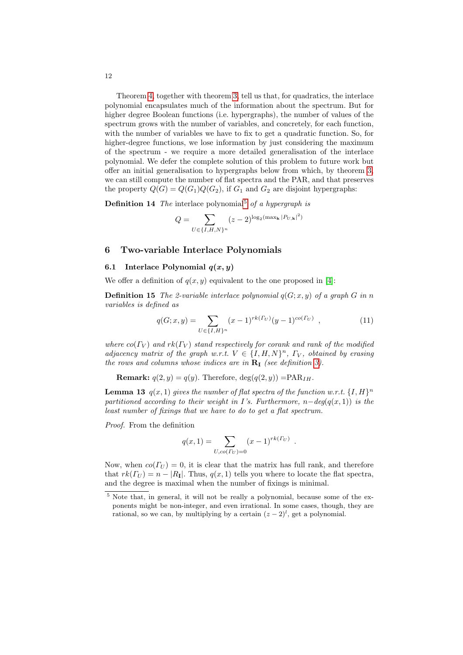Theorem 4, together with theorem 3, tell us that, for quadratics, the interlace polynomial encapsulates much of the information about the spectrum. But for higher degree Boolean functions (i.e. hypergraphs), the number of values of the spectrum grows with the number of variables, and concr[et](#page-7-1)ely, for each function, with the number of variables we have to fix to get a quadratic function. So, for higher-degree functions, we lose information by just considering the maximum of the spectrum - [we](#page-11-0) require a more detailed generalisation of the interlace polynomial. We defer the complete solution of this problem to future work but offer an initial generalisation to hypergraphs below from which, by theorem 3, we can still compute the number of flat spectra and the PAR, and that preserves the property  $Q(G) = Q(G_1)Q(G_2)$ , if  $G_1$  and  $G_2$  are disjoint hypergraphs:

**Definition 14** The interlace polynomial<sup>5</sup> of a hypergraph is

$$
Q = \sum_{U \in \{I, H, N\}^n} (z - 2)^{\log_2(\max_{\mathbf{k}} |P_{U, \mathbf{k}}|^2)}
$$

### 6 Two-variable Interlace Polynomials

### 6.1 Interlace Polynomial  $q(x, y)$

We offer a definition of  $q(x, y)$  equivalent to the one proposed in [4]:

**Definition 15** The 2-variable interlace polynomial  $q(G; x, y)$  of a graph G in n variables is defined as

$$
q(G; x, y) = \sum_{U \in \{I, H\}^n} (x - 1)^{rk(\Gamma_U)} (y - 1)^{co(\Gamma_U)}, \qquad (11)
$$

where  $co(\Gamma_V)$  and  $rk(\Gamma_V)$  stand respectively for corank and rank of the modified adjacency matrix of the graph w.r.t.  $V \in \{I, H, N\}^n$ ,  $\Gamma_V$ , obtained by erasing the rows and columns whose indices are in  $\mathbf{R}_{\text{I}}$  (see definition 3).

**Remark:**  $q(2, y) = q(y)$ . Therefore,  $deg(q(2, y)) = PAR<sub>IH</sub>$ .

**Lemma 13**  $q(x,1)$  gives the number of flat spectra of the function w.r.t.  $\{I,H\}^n$ partitioned according to their weight in I's. Furthermore,  $n-\deg(q(x,1))$  is the least number of fixings that we have to do to get a flat spectrum.

<span id="page-11-0"></span>Proof. From the definition

$$
q(x, 1) = \sum_{U, co(\Gamma_U) = 0} (x - 1)^{rk(\Gamma_U)}.
$$

Now, when  $co(\Gamma_{U}) = 0$ , it is clear that the matrix has full rank, and therefore that  $rk(\Gamma_U) = n - |R_I|$ . Thus,  $q(x, 1)$  tells you where to locate the flat spectra, and the degree is maximal when the number of fixings is minimal.

<sup>5</sup> Note that, in general, it will not be really a polynomial, because some of the exponents might be non-integer, and even irrational. In some cases, though, they are rational, so we can, by multiplying by a certain  $(z - 2)^l$ , get a polynomial.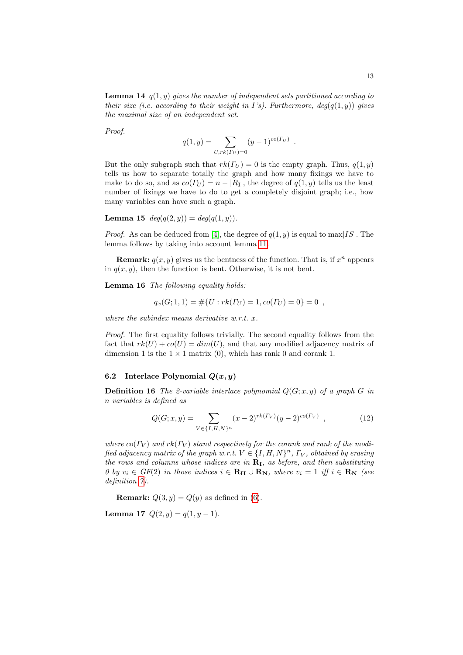**Lemma 14**  $q(1, y)$  gives the number of independent sets partitioned according to their size (i.e. according to their weight in I's). Furthermore,  $deg(q(1, y))$  gives the maximal size of an independent set.

Proof.

$$
q(1, y) = \sum_{U, rk(\Gamma_U) = 0} (y - 1)^{co(\Gamma_U)}.
$$

But the only subgraph such that  $rk(\Gamma_U) = 0$  is the empty graph. Thus,  $q(1, y)$ tells us how to separate totally the graph and how many fixings we have to make to d[o s](#page-14-12)o, and as  $co(\Gamma_U) = n - |R_I|$ , the degree of  $q(1, y)$  tells us the least number of fixings we h[ave](#page-10-0) to do to get a completely disjoint graph; i.e., how many variables can have such a graph.

**Lemma 15**  $deg(q(2, y)) = deg(q(1, y)).$ 

*Proof.* As can be deduced from [4], the degree of  $q(1, y)$  is equal to max[IS]. The lemma follows by taking into account lemma 11.

**Remark:**  $q(x, y)$  gives us the bentness of the function. That is, if  $x^n$  appears in  $q(x, y)$ , then the function is bent. Otherwise, it is not bent.

Lemma 16 The following equality holds:

$$
q_x(G; 1, 1) = #{U : rk(\Gamma_U) = 1, co(\Gamma_U) = 0} = 0 ,
$$

where the subindex means derivative w.r.t. x.

Proof. The first equality follows trivially. The second equality follows from the fact that  $rk(U) + \infty(U) = dim(U)$ , and that any modified adjacency matrix of dimension 1 is the  $1 \times 1$  matrix (0), which has rank 0 and corank 1.

#### 6.2 Interlace Polynomial  $Q(x, y)$

**Definition 16** The 2-variable interlace polynomial  $Q(G; x, y)$  of a graph G in n variables is defined as

$$
Q(G; x, y) = \sum_{V \in \{I, H, N\}^n} (x - 2)^{rk(\Gamma_V)} (y - 2)^{co(\Gamma_V)} \tag{12}
$$

where  $co(\Gamma_V)$  $co(\Gamma_V)$  $co(\Gamma_V)$  and  $rk(\Gamma_V)$  stand respectively for the corank and rank of the modified adjacency matrix of the graph w.r.t.  $V \in \{I, H, N\}^n$ ,  $\Gamma_V$ , obtained by erasing the rows and columns whose indices are in  $\mathbf{R}_{\text{I}}$ , as before, and then substituting 0 by  $v_i \in GF(2)$  in those indices  $i \in \mathbf{R_H} \cup \mathbf{R_N}$ , where  $v_i = 1$  iff  $i \in \mathbf{R_N}$  (see definition  $\gamma$ ).

**Remark:**  $Q(3, y) = Q(y)$  as defined in (6).

Lemma 17  $Q(2, y) = q(1, y - 1)$ .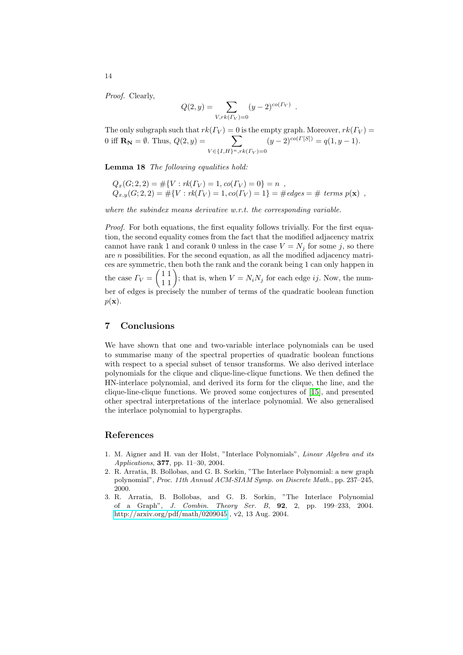Proof. Clearly,

$$
Q(2, y) = \sum_{V, rk(\Gamma_V) = 0} (y - 2)^{co(\Gamma_V)}.
$$

The only subgraph such that  $rk(\Gamma_V) = 0$  is the empty graph. Moreover,  $rk(\Gamma_V) =$ 0 iff  $\mathbf{R}_{N} = \emptyset$ . Thus,  $Q(2, y) = \sum$  $V \in \{I, H\}^n, rk(\Gamma_V) = 0$  $(y-2)^{co(\Gamma[S])} = q(1, y-1).$ 

Lemma 18 The following equalities hold:

$$
Q_x(G; 2, 2) = #{V : rk(\Gamma_V) = 1, co(\Gamma_V) = 0} = n ,
$$
  
\n
$$
Q_{x,y}(G; 2, 2) = #{V : rk(\Gamma_V) = 1, co(\Gamma_V) = 1} = #edges = # terms p(x) ,
$$

where the subindex means derivative w.r.t. the corresponding variable.

Proof. For both equations, the first equality follows trivially. For the first equation, the second equality comes from the fact that the modified adjacency matrix cannot have rank 1 and corank 0 unless in the case  $V = N_j$  for some j, so there are n possibilities. For the second equation, as all the modified adjacency matrices are symmetric, then both the rank and the corank being 1 can only happen in the case  $\Gamma_V = \begin{pmatrix} 1 & 1 \\ 1 & 1 \end{pmatrix}$ ; that is, when  $V = N_i N_j$  for each edge *ij*. Now, the number of edges is precisely the number of terms of the quadratic boolean function  $p(\mathbf{x})$ .

#### 7 Conclusions

We have shown that one and two-vari[abl](#page-14-0)e interlace polynomials can be used to summarise many of the spectral properties of quadratic boolean functions with respect to a special subset of tensor transforms. We also derived interlace polynomials for the clique and clique-line-clique functions. We then defined the HN-interlace polynomial, and derived its form for the clique, the line, and the clique-line-clique functions. We proved some conjectures of [15], and presented other spectral interpretations of the interlace polynomial. We also generalised the interlace polynomial to hypergraphs.

#### <span id="page-13-2"></span><span id="page-13-1"></span><span id="page-13-0"></span>References

- 1. M. Aigner and H. van der Holst, "Interlace Polynomials", Linear Algebra and its [Applications](http://arxiv.org/pdf/math/0209045), 377, pp. 11–30, 2004.
- 2. R. Arratia, B. Bollobas, and G. B. Sorkin, "The Interlace Polynomial: a new graph polynomial", Proc. 11th Annual ACM-SIAM Symp. on Discrete Math., pp. 237–245, 2000.
- 3. R. Arratia, B. Bollobas, and G. B. Sorkin, "The Interlace Polynomial of a Graph", J. Combin. Theory Ser. B, 92, 2, pp. 199–233, 2004. http://arxiv.org/pdf/math/0209045 , v2, 13 Aug. 2004.

14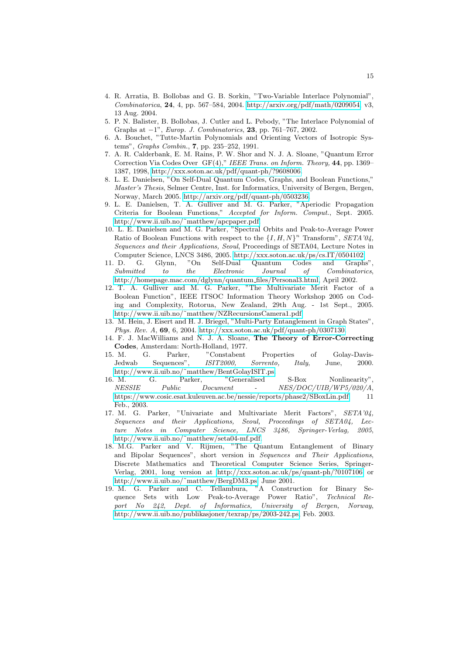- <span id="page-14-12"></span><span id="page-14-1"></span>4. R. Arratia, B. Bollobas and G. B. Sorkin, "Two-Variable Interlace Polynomial", Combinatorica, 24, 4, pp. 567–584, 2004. http://arxiv.org/pdf/math/0209054, v3, 13 Aug. 2004.
- <span id="page-14-11"></span>[5. P. N. Balister, B. Bollobas, J. Cutler](http://xxx.soton.ac.uk/pdf/quant-ph/?9608006) and L. Pebody, "The Interlace Polynomial of Graphs at −1", Europ. J. Combinatorics, 23, pp. 761–767, 2002.
- 6. A. Bouchet, "Tutte-Martin Polynomials and Orienting Vectors of Isotropic Systems", [Graphs Combin.](http://arxiv.org/pdf/quant-ph/0503236), 7, pp. 235–252, 1991.
- <span id="page-14-6"></span>7. A. R. Calderbank, E. M. Rains, P. W. Shor and N. J. A. Sloane, "Quantum Error Correction Via Codes Over GF(4)," IEEE Trans. on Inform. Theory, 44, pp. 1369– [1387, 1998, http://xxx.s](http://www.ii.uib.no/~matthew/apcpaper.pdf)oton.ac.uk/pdf/quant-ph/?9608006.
- <span id="page-14-10"></span>8. L. E. Danielsen, "On Self-Dual Quantum Codes, Graphs, and Boolean Functions," Master's Thesis, Selmer Centre, Inst. for Informatics, University of Bergen, Bergen, Norway, March 2005. http://arxiv.org/pdf/quant-ph/0503236.
- <span id="page-14-8"></span>9. L. E. Daniels[en, T. A. Gulliver and M. G. Parker,](http://xxx.soton.ac.uk/pdf/cs.IT/0504102) "Aperiodic Propagation Criteria for Boolean Functions," Accepted for Inform. Comput., Sept. 2005. http://www.ii.uib.no/˜matthew/apcpaper.pdf.
- <span id="page-14-4"></span>[10. L. E. Danielsen and M. G. Parker, "Spec](http://homepage.mac.com/dglynn/quantum_files/Personal3.html)tral Orbits and Peak-to-Average Power Ratio of Boolean Functions with respect to the  $\{I, H, N\}^n$  Transform", SETA'04, Sequences and their Applications, Seoul, Proceedings of SETA04, Lecture Notes in Computer Science, LNCS 3486, 2005. http://xxx.soton.ac.uk/ps/cs.IT/0504102.
- <span id="page-14-3"></span>[11. D. G. Glynn, "On Self-D](http://www.ii.uib.no/~{}matthew/NZRecursionsCamera1.pdf)ual Quantum Codes and Graphs", Submitted to the Electronic Journal of Combinatorics, htt[p://homepage.mac.com/dglynn/quantum](http://xxx.soton.ac.uk/pdf/quant-ph/0307130) files/Personal3.html, April 2002.
- <span id="page-14-9"></span><span id="page-14-0"></span>12. T. A. Gulliver and M. G. Parker, "The Multivariate Merit Factor of a Boolean Function", IEEE ITSOC Information Theory Workshop 2005 on Coding and Complexity, Rotorua, New Zealand, 29th Aug. - 1st Sept., 2005. http://www.ii.uib.no/˜matthew/NZRecursionsCamera1.pdf.
- <span id="page-14-7"></span>[13. M. Hein, J. Eisert and H. J.](http://www.ii.uib.no/~matthew/BentGolayISIT.ps) Briegel, "Multi-Party Entanglement in Graph States", Phys. Rev. A, 69, 6, 2004. http://xxx.soton.ac.uk/pdf/quant-ph/0307130.
- 14. F. J. MacWilliams and N. J. A. Sloane, The Theory of Error-Correcting Codes[, Amsterdam: North-Holland, 1977.](https://www.cosic.esat.kuleuven.ac.be/nessie/reports/phase2/SBoxLin.pdf)
- <span id="page-14-5"></span>15. M. G. Parker, "Constabent Properties of Golay-Davis-Jedwab Sequences", ISIT2000, Sorrento, Italy, June, 2000. http://www.ii.uib.no/˜matthew/BentGolayISIT.ps.
- 16. M. G. Parker, "Generalised S-Box Nonlinearity", [NESSIE Public](http://www.ii.uib.no/~matthew/seta04-mf.pdf) Document - NES/DOC/UIB/WP5/020/A, https://www.cosic.esat.kuleuven.ac.be/nessie/reports/phase2/SBoxLin.pdf, 11 Feb., 2003.
- 17. M. G. Parker, "Univariate and Multivariate Merit Factors", SETA'04, Sequence[s and their Applications, Seoul, Proceedi](http://xxx.soton.ac.uk/ps/quant-ph/?0107106)ngs of SETA04, Lec[ture Notes in Com](http://www.ii.uib.no/~matthew/BergDM3.ps)puter Science, LNCS 3486, Springer-Verlag, 2005, http://www.ii.uib.no/˜matthew/seta04-mf.pdf.
- <span id="page-14-2"></span>18. M.G. Parker and V. Rijmen, "The Quantum Entanglement of Binary and Bipolar Sequences", short version in Sequences and Their Applications, [Discrete Mathematics and Theor](http://www.ii.uib.no/publikasjoner/texrap/ps/2003-242.ps)etical Computer Science Series, Springer-Verlag, 2001, long version at http://xxx.soton.ac.uk/ps/quant-ph/?0107106 or http://www.ii.uib.no/˜matthew/BergDM3.ps, June 2001.
- 19. M. G. Parker and C. Tellambura, "A Construction for Binary Sequence Sets with Low Peak-to-Average Power Ratio", Technical Report No 242, Dept. of Informatics, University of Bergen, Norway, http://www.ii.uib.no/publikasjoner/texrap/ps/2003-242.ps, Feb. 2003.